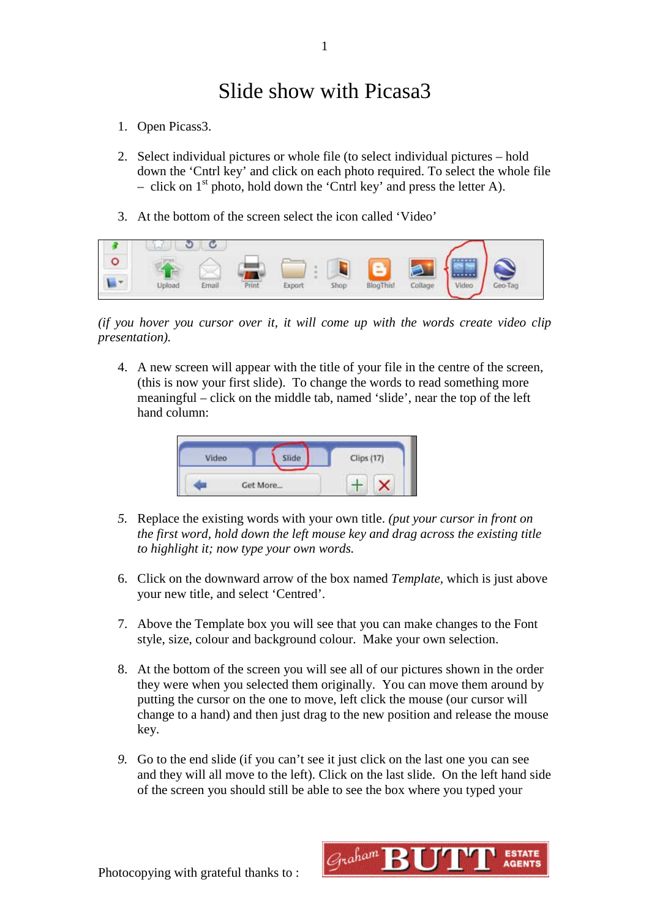## Slide show with Picasa3

- 1. Open Picass3.
- 2. Select individual pictures or whole file (to select individual pictures hold down the 'Cntrl key' and click on each photo required. To select the whole file – click on  $1<sup>st</sup>$  photo, hold down the 'Cntrl key' and press the letter A).
- 3. At the bottom of the screen select the icon called 'Video'



*(if you hover you cursor over it, it will come up with the words create video clip presentation).*

4. A new screen will appear with the title of your file in the centre of the screen, (this is now your first slide). To change the words to read something more meaningful – click on the middle tab, named 'slide', near the top of the left hand column:



- *5.* Replace the existing words with your own title. *(put your cursor in front on the first word, hold down the left mouse key and drag across the existing title to highlight it; now type your own words.*
- 6. Click on the downward arrow of the box named *Template,* which is just above your new title, and select 'Centred'.
- 7. Above the Template box you will see that you can make changes to the Font style, size, colour and background colour. Make your own selection.
- 8. At the bottom of the screen you will see all of our pictures shown in the order they were when you selected them originally. You can move them around by putting the cursor on the one to move, left click the mouse (our cursor will change to a hand) and then just drag to the new position and release the mouse key.
- *9.* Go to the end slide (if you can't see it just click on the last one you can see and they will all move to the left). Click on the last slide. On the left hand side of the screen you should still be able to see the box where you typed your

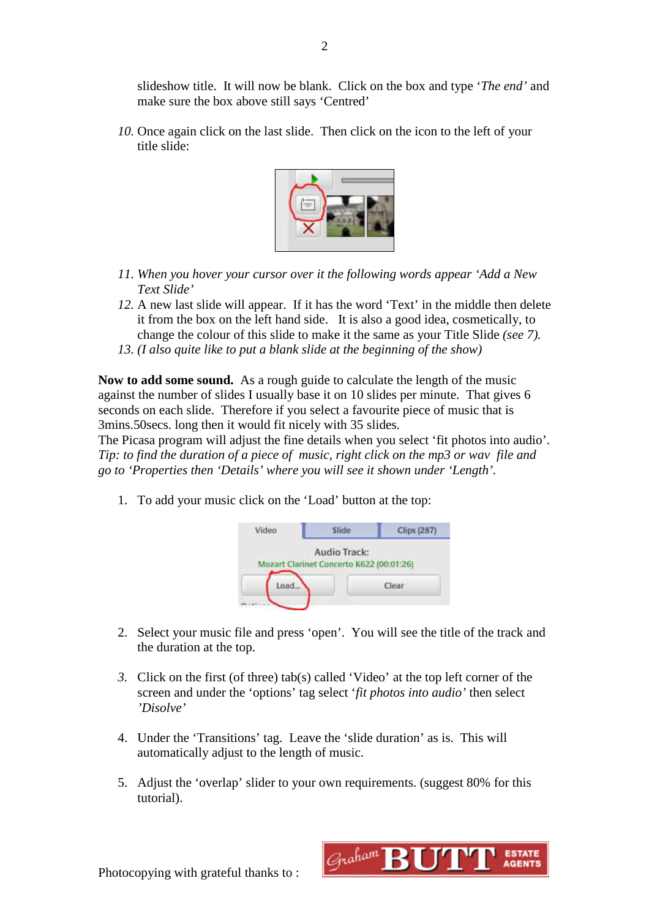slideshow title. It will now be blank. Click on the box and type '*The end'* and make sure the box above still says 'Centred'

*10.* Once again click on the last slide. Then click on the icon to the left of your title slide:



- *11. When you hover your cursor over it the following words appear 'Add a New Text Slide'*
- *12.* A new last slide will appear. If it has the word 'Text' in the middle then delete it from the box on the left hand side. It is also a good idea, cosmetically, to change the colour of this slide to make it the same as your Title Slide *(see 7).*
- *13. (I also quite like to put a blank slide at the beginning of the show)*

**Now to add some sound.** As a rough guide to calculate the length of the music against the number of slides I usually base it on 10 slides per minute. That gives 6 seconds on each slide. Therefore if you select a favourite piece of music that is 3mins.50secs. long then it would fit nicely with 35 slides.

The Picasa program will adjust the fine details when you select 'fit photos into audio'. *Tip: to find the duration of a piece of music, right click on the mp3 or wav file and go to 'Properties then 'Details' where you will see it shown under 'Length'.* 

1. To add your music click on the 'Load' button at the top:



- 2. Select your music file and press 'open'. You will see the title of the track and the duration at the top.
- *3.* Click on the first (of three) tab(s) called 'Video' at the top left corner of the screen and under the 'options' tag select '*fit photos into audio'* then select *'Disolve'*
- 4. Under the 'Transitions' tag. Leave the 'slide duration' as is. This will automatically adjust to the length of music.
- 5. Adjust the 'overlap' slider to your own requirements. (suggest 80% for this tutorial).